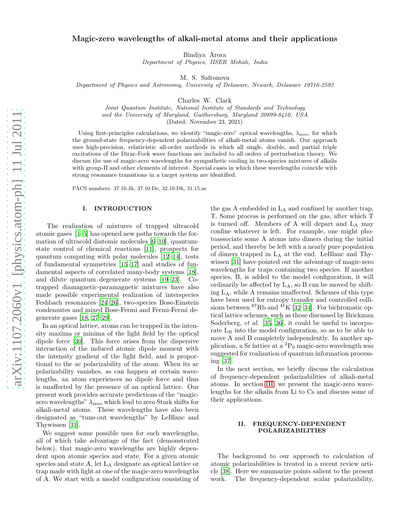# Magic-zero wavelengths of alkali-metal atoms and their applications

Bindiya Arora

Department of Physics, IISER Mohali, India

M. S. Safronova

Department of Physics and Astronomy, University of Delaware, Newark, Delaware 19716-2593

Charles W. Clark

Joint Quantum Institute, National Institute of Standards and Technology and the University of Maryland, Gaithersburg, Maryland 20899-8410, USA

(Dated: November 23, 2021)

Using first-principles calculations, we identify "magic-zero" optical wavelengths,  $\lambda_{\text{zero}}$ , for which the ground-state frequency-dependent polarizabilities of alkali-metal atoms vanish. Our approach uses high-precision, relativistic all-order methods in which all single, double, and partial triple excitations of the Dirac-Fock wave functions are included to all orders of perturbation theory. We discuss the use of magic-zero wavelengths for sympathetic cooling in two-species mixtures of alkalis with group-II and other elements of interest. Special cases in which these wavelengths coincide with strong resonance transitions in a target system are identified.

PACS numbers: 37.10.Jk, 37.10.De, 32.10.Dk, 31.15.ac

#### I. INTRODUCTION

The realization of mixtures of trapped ultracold atomic gases [\[1–](#page-4-0)[5\]](#page-4-1) has opened new paths towards the formation of ultracold diatomic molecules [\[6](#page-4-2)[–10\]](#page-4-3), quantumstate control of chemical reactions [\[11\]](#page-4-4), prospects for quantum computing with polar molecules [\[12](#page-4-5)[–14\]](#page-4-6), tests of fundamental symmetries [\[15](#page-4-7)[–17\]](#page-4-8) and studies of fundamental aspects of correlated many-body systems [\[18\]](#page-4-9), and dilute quantum degenerate systems [\[19](#page-4-10)[–23\]](#page-4-11). Cotrapped diamagnetic-paramagnetic mixtures have also made possible experimental realization of interspecies Feshbach resonances [\[24–](#page-4-12)26], two-species Bose-Einstein condensates and mixed Bose-Fermi and Fermi-Fermi degenerate gases [\[18](#page-4-9), [27](#page-5-0)[–29](#page-5-1)].

In an optical lattice, atoms can be trapped in the intensity maxima or minima of the light field by the optical dipole force [\[30\]](#page-5-2). This force arises from the dispersive interaction of the induced atomic dipole moment with the intensity gradient of the light field, and is proportional to the ac polarizability of the atom. When its ac polarizability vanishes, as can happen at certain wavelengths, an atom experiences no dipole force and thus is unaffected by the presence of an optical lattice. Our present work provides accurate predictions of the "magiczero wavelengths"  $\lambda$ <sub>zero</sub> which lead to zero Stark shifts for alkali-metal atoms. These wavelengths have also been designated as "tune-out wavelengths" by LeBlanc and Thywissen [\[31\]](#page-5-3).

We suggest some possible uses for such wavelengths, all of which take advantage of the fact (demonstrated below), that magic-zero wavelengths are highly dependent upon atomic species and state. For a given atomic species and state A, let LA designate an optical lattice or trap made with light at one of the magic-zero wavelengths of A. We start with a model configuration consisting of

the gas A embedded in  $L_A$  and confined by another trap, T. Some process is performed on the gas, after which T is turned off. Members of A will depart and L<sup>A</sup> may confine whatever is left. For example, one might photoassociate some A atoms into dimers during the initial period, and thereby be left with a nearly pure population of dimers trapped in L<sup>A</sup> at the end. LeBlanc and Thywissen [\[31](#page-5-3)] have pointed out the advantage of magic-zero wavelengths for traps containing two species. If another species, B, is added to the model configuration, it will ordinarily be affected by LA, so B can be moved by shifting LA, while A remains unaffected. Schemes of this type have been used for entropy transfer and controlled collisions between  ${}^{87}$ Rb and  ${}^{41}$ K [\[32](#page-5-4)[–34\]](#page-5-5). For bichromatic optical lattice schemes, such as those discussed by Brickman Soderberg, et al. [\[35](#page-5-6), [36\]](#page-5-7), it could be useful to incorporate  $L_B$  into the model configuration, so as to be able to move A and B completely independently. In another application, a Sr lattice at a  ${}^{3}P_0$  magic-zero wavelength was suggested for realization of quantum information processing [\[37](#page-5-8)].

In the next section, we briefly discuss the calculation of frequency-dependent polarizabilities of alkali-metal atoms. In section [III,](#page-2-0) we present the magic-zero wavelengths for the alkalis from Li to Cs and discuss some of their applications.

## II. FREQUENCY-DEPENDENT POLARIZABILITIES

The background to our approach to calculation of atomic polarizabilities is treated in a recent review article [\[38\]](#page-5-9). Here we summarize points salient to the present work. The frequency-dependent scalar polarizability,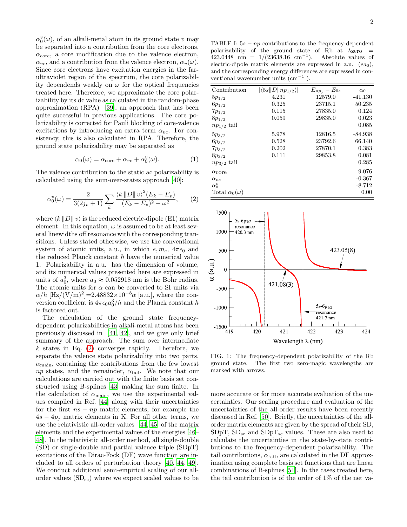$\alpha_0^v(\omega)$ , of an alkali-metal atom in its ground state v may be separated into a contribution from the core electrons,  $\alpha_{\rm core}$ , a core modification due to the valence electron,  $\alpha_{vc}$ , and a contribution from the valence electron,  $\alpha_v(\omega)$ . Since core electrons have excitation energies in the farultraviolet region of the spectrum, the core polarizability dependends weakly on  $\omega$  for the optical frequencies treated here. Therefore, we approximate the core polarizability by its dc value as calculated in the random-phase approximation (RPA) [\[39\]](#page-5-10), an approach that has been quite successful in previous applications. The core polarizability is corrected for Pauli blocking of core-valence excitations by introducing an extra term  $\alpha_{vc}$ . For consistency, this is also calculated in RPA. Therefore, the ground state polarizability may be separated as

$$
\alpha_0(\omega) = \alpha_{\text{core}} + \alpha_{vc} + \alpha_0^v(\omega). \tag{1}
$$

The valence contribution to the static ac polarizability is calculated using the sum-over-states approach [\[40\]](#page-5-11):

<span id="page-1-0"></span>
$$
\alpha_0^v(\omega) = \frac{2}{3(2j_v + 1)} \sum_k \frac{\langle k \, ||D|| \, v \rangle^2 (E_k - E_v)}{(E_k - E_v)^2 - \omega^2},\qquad(2)
$$

where  $\langle k \| D \| v \rangle$  is the reduced electric-dipole (E1) matrix element. In this equation,  $\omega$  is assumed to be at least several linewidths off resonance with the corresponding transitions. Unless stated otherwise, we use the conventional system of atomic units, a.u., in which  $e, m_e, 4\pi\epsilon_0$  and the reduced Planck constant  $\hbar$  have the numerical value 1. Polarizability in a.u. has the dimension of volume, and its numerical values presented here are expressed in units of  $a_0^3$ , where  $a_0 \approx 0.052918$  nm is the Bohr radius. The atomic units for  $\alpha$  can be converted to SI units via  $\alpha/h$  [Hz/(V/m)<sup>2</sup>]=2.48832×10<sup>-8</sup> $\alpha$  [a.u.], where the conversion coefficient is  $4\pi\epsilon_0 a_0^3/h$  and the Planck constant h is factored out.

The calculation of the ground state frequencydependent polarizabilities in alkali-metal atoms has been previously discussed in [\[41,](#page-5-12) [42\]](#page-5-13), and we give only brief summary of the approach. The sum over intermediate  $k$  states in Eq. [\(2\)](#page-1-0) converges rapidly. Therefore, we separate the valence state polarizability into two parts,  $\alpha_{\text{main}}$ , containing the contributions from the few lowest np states, and the remainder,  $\alpha_{\text{tail}}$ . We note that our calculations are carried out with the finite basis set constructed using B-splines [\[43](#page-5-14)] making the sum finite. In the calculation of  $\alpha_{\text{main}}$ , we use the experimental values compiled in Ref. [\[44\]](#page-5-15) along with their uncertainties for the first  $ns - np$  matrix elements, for example the  $4s - 4p_i$  matrix elements in K. For all other terms, we use the relativistic all-order values [\[44,](#page-5-15) [45\]](#page-5-16) of the matrix elements and the experimental values of the energies [\[46](#page-5-17)– [48\]](#page-5-18). In the relativistic all-order method, all single-double (SD) or single-double and partial valence triple (SDpT) excitations of the Dirac-Fock (DF) wave function are included to all orders of perturbation theory [\[40](#page-5-11), [44,](#page-5-15) [49\]](#page-5-19). We conduct additional semi-empirical scaling of our allorder values  $(SD_{sc})$  where we expect scaled values to be

<span id="page-1-1"></span>TABLE I:  $5s - np$  contributions to the frequency-dependent polarizability of the ground state of Rb at  $\lambda$ zero =  $423.0448$  nm = 1/(23638.16 cm<sup>-1</sup>). Absolute values of electric-dipole matrix elements are expressed in a.u.  $(ea_0)$ , and the corresponding energy differences are expressed in conventional wavenumber units  $\text{(cm}^{-1})$ .

| Contribution             | $ \langle 5s  D  np_{1/2}\rangle $ | $E_{np_j}-E_{5s}$ | $\alpha_0$ |
|--------------------------|------------------------------------|-------------------|------------|
| $5p_{1/2}$               | 4.231                              | 12579.0           | $-41.130$  |
| $6p_{1/2}$               | 0.325                              | 23715.1           | 50.235     |
| $7p_{1/2}$               | 0.115                              | 27835.0           | 0.124      |
| $8p_{1/2}$               | 0.059                              | 29835.0           | 0.023      |
| $np_{1/2}$ tail          |                                    |                   | 0.085      |
| $5p_{3/2}$               | 5.978                              | 12816.5           | $-84.938$  |
| $6p_{3/2}$               | 0.528                              | 23792.6           | 66.140     |
| $7p_{3/2}$               | 0.202                              | 27870.1           | 0.383      |
| $8p_{3/2}$               | 0.111                              | 29853.8           | 0.081      |
| $np_{3/2}$ tail          |                                    |                   | 0.285      |
| $\alpha$ core            |                                    |                   | 9.076      |
| $\alpha_{vc}$            |                                    |                   | $-0.367$   |
| $\alpha_0^v$             |                                    |                   | $-8.712$   |
| Total $\alpha_0(\omega)$ |                                    |                   | 0.00       |



<span id="page-1-2"></span>FIG. 1: The frequency-dependent polarizability of the Rb ground state. The first two zero-magic wavelengths are marked with arrows.

more accurate or for more accurate evaluation of the uncertainties. Our scaling procedure and evaluation of the uncertainties of the all-order results have been recently discussed in Ref. [\[50](#page-5-20)]. Briefly, the uncertainties of the allorder matrix elements are given by the spread of their SD, SDpT,  $SD_{sc}$  and  $SDpT_{sc}$  values. These are also used to calculate the uncertainties in the state-by-state contributions to the frequency-dependent polarizability. The tail contributions,  $\alpha_{tail}$ , are calculated in the DF approximation using complete basis set functions that are linear combinations of B-splines [\[51\]](#page-5-21). In the cases treated here, the tail contribution is of the order of 1% of the net va-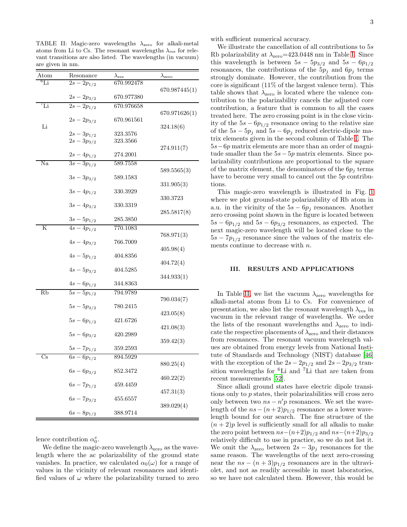<span id="page-2-1"></span>TABLE II: Magic-zero wavelengths  $\lambda_{\text{zero}}$  for alkali-metal atoms from Li to Cs. The resonant wavelengths  $\lambda_{\text{res}}$  for relevant transitions are also listed. The wavelengths (in vacuum) are given in nm.

| Atom            | Resonance                          | $\lambda_{\rm res}$  | $\lambda_{\rm zero}$ |
|-----------------|------------------------------------|----------------------|----------------------|
| $^6\mathrm{Li}$ | $\sqrt{2s-2p_{1/2}}$               | 670.992478           |                      |
|                 | $2s - 2p_{3/2}$                    | 670.977380           | 670.987445(1)        |
| ${\rm^7Li}$     | $\frac{2s-2p_{1/2}}{2}$            | 670.976658           |                      |
|                 | $2s - 2p_{3/2}$                    | 670.961561           | 670.971626(1)        |
| Li              |                                    |                      | 324.18(6)            |
|                 | $2s - 3p_{1/2}$<br>$2s - 3p_{3/2}$ | 323.3576<br>323.3566 |                      |
|                 |                                    |                      | 274.911(7)           |
|                 | $2s - 4p_{1/2}$                    | 274.2001             |                      |
| Na              | $\sqrt{3s-3p_{1/2}}$               | 589.7558             |                      |
|                 |                                    |                      | 589.5565(3)          |
|                 | $3s - 3p_{3/2}$                    | 589.1583             |                      |
|                 | $3s - 4p_{1/2}$                    | 330.3929             | 331.905(3)           |
|                 |                                    |                      | 330.3723             |
|                 | $3s - 4p_{3/2}$                    | 330.3319             |                      |
|                 |                                    |                      | 285.5817(8)          |
|                 | $3s - 5p_{1/2}$                    | 285.3850             |                      |
| K               | $4s - 4p_{1/2}$                    | 770.1083             |                      |
|                 | $4s - 4p_{3/2}$                    | 766.7009             | 768.971(3)           |
|                 |                                    |                      | 405.98(4)            |
|                 | $4s - 5p_{1/2}$                    | 404.8356             |                      |
|                 |                                    |                      | 404.72(4)            |
|                 | $4s - 5p_{3/2}$                    | 404.5285             | 344.933(1)           |
|                 | $4s - 6p_{1/2}$                    | 344.8363             |                      |
| Rb              | $5s - 5p_{1/2}$                    | 794.9789             |                      |
|                 |                                    |                      | 790.034(7)           |
|                 | $5s - 5p_{3/2}$                    | 780.2415             |                      |
|                 |                                    |                      | 423.05(8)            |
|                 | $5s - 6p_{1/2}$                    | 421.6726             | 421.08(3)            |
|                 | $5s - 6p_{3/2}$                    | 420.2989             |                      |
|                 |                                    |                      | 359.42(3)            |
|                 | $5s - 7p_{1/2}$                    | 359.2593             |                      |
| $\mathrm{Cs}$   | $\overline{6s} - 6p_{1/2}$         | 894.5929             |                      |
|                 | $6s - 6p_{3/2}$                    | 852.3472             | 880.25(4)            |
|                 |                                    |                      | 460.22(2)            |
|                 | $6s - 7p_{1/2}$                    | 459.4459             |                      |
|                 |                                    |                      | 457.31(3)            |
|                 | $6s - 7p_{3/2}$                    | 455.6557             |                      |
|                 | $6s - 8p_{1/2}$                    |                      | 389.029(4)           |
|                 |                                    | 388.9714             |                      |

lence contribution  $\alpha_0^v$ .

We define the magic-zero wavelength  $\lambda_{\text{zero}}$  as the wavelength where the ac polarizability of the ground state vanishes. In practice, we calculated  $\alpha_0(\omega)$  for a range of values in the vicinity of relevant resonances and identified values of  $\omega$  where the polarizability turned to zero

with sufficient numerical accuracy.

We illustrate the cancellation of all contributions to  $5s$ Rb polarizability at  $\lambda_{\rm zero} = 423.0448$  nm in Table [I.](#page-1-1) Since this wavelength is between  $5s - 5p_{3/2}$  and  $5s - 6p_{1/2}$ resonances, the contributions of the  $5p_i$  and  $6p_i$  terms strongly dominate. However, the contribution from the core is significant (11% of the largest valence term). This table shows that  $\lambda_{\text{zero}}$  is located where the valence contribution to the polarizability cancels the adjusted core contribution, a feature that is common to all the cases treated here. The zero crossing point is in the close vicinity of the  $5s - 6p_{1/2}$  resonance owing to the relative size of the  $5s - 5p_j$  and  $5s - 6p_j$  reduced electric-dipole matrix elements given in the second column of Table [I.](#page-1-1) The 5s−6p matrix elements are more than an order of magnitude smaller than the  $5s-5p$  matrix elements. Since polarizability contributions are proportional to the square of the matrix element, the denominators of the  $6p_i$  terms have to become very small to cancel out the  $5p$  contributions.

This magic-zero wavelength is illustrated in Fig. [1](#page-1-2) where we plot ground-state polarizability of Rb atom in a.u. in the vicinity of the  $5s - 6p_j$  resonances. Another zero crossing point shown in the figure is located between  $5s - 6p_{1/2}$  and  $5s - 6p_{3/2}$  resonances, as expected. The next magic-zero wavelength will be located close to the  $5s - 7p_{1/2}$  resonance since the values of the matrix elements continue to decrease with n.

### <span id="page-2-0"></span>III. RESULTS AND APPLICATIONS

In Table [II,](#page-2-1) we list the vacuum  $\lambda_{\text{zero}}$  wavelengths for alkali-metal atoms from Li to Cs. For convenience of presentation, we also list the resonant wavelength  $\lambda_{\text{res}}$  in vacuum in the relevant range of wavelengths. We order the lists of the resonant wavelengths and  $\lambda_{\text{zero}}$  to indicate the respective placements of  $\lambda$ <sub>zero</sub> and their distances from resonances. The resonant vacuum wavelength values are obtained from energy levels from National Institute of Standards and Technology (NIST) database [\[46](#page-5-17)] with the exception of the  $2s - 2p_{1/2}$  and  $2s - 2p_{3/2}$  transition wavelengths for <sup>6</sup>Li and <sup>7</sup>Li that are taken from recent measurements [\[52\]](#page-5-22).

Since alkali ground states have electric dipole transitions only to p states, their polarizabilities will cross zero only between two  $ns - n'p$  resonances. We set the wavelength of the  $ns - (n+2)p_{1/2}$  resonance as a lower wavelength bound for our search. The fine structure of the  $(n+2)p$  level is sufficiently small for all alkalis to make the zero point between  $ns-(n+2)p_{1/2}$  and  $ns-(n+2)p_{3/2}$ relatively difficult to use in practice, so we do not list it. We omit the  $\lambda_{\text{zero}}$  between  $2s - 3p_j$  resonances for the same reason. The wavelengths of the next zero-crossing near the  $ns - (n + 3)p_{1/2}$  resonances are in the ultraviolet, and not as readily accessible in most laboratories, so we have not calculated them. However, this would be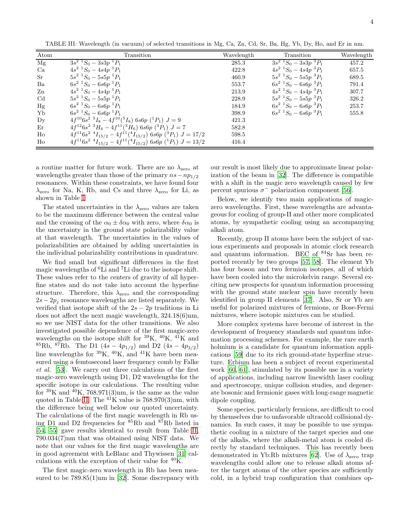<span id="page-3-0"></span>TABLE III: Wavelength (in vacuum) of selected transitions in Mg, Ca, Zn, Cd, Sr, Ba, Hg, Yb, Dy, Ho, and Er in nm.

| Atom                   | Transition                                                                 | Wavelength | Transition                        | Wavelength |
|------------------------|----------------------------------------------------------------------------|------------|-----------------------------------|------------|
| $\overline{\text{Mg}}$ | $3s^2$ ${}^1S_0 - 3s3p$ ${}^1P_1$                                          | 285.3      | $3s^2$ ${}^1S_0 - 3s3p$ ${}^3P_1$ | 457.2      |
| Ca                     | $4s^2$ ${}^1S_0 - 4s4p$ ${}^1P_1$                                          | 422.8      | $4s^2$ ${}^1S_0 - 4s4p$ ${}^3P_1$ | 657.5      |
| <b>Sr</b>              | $5s^2$ ${}^1S_0 - 5s5p$ ${}^1P_1$                                          | 460.9      | $5s^2$ ${}^1S_0 - 5s5p$ ${}^3P_1$ | 689.5      |
| Ba                     | $6s^2$ ${}^1S_0 - 6s6p$ ${}^1P_1$                                          | 553.7      | $6s^2$ ${}^1S_0 - 6s6p$ ${}^3P_1$ | 791.4      |
| Zn                     | $4s^2$ ${}^1S_0 - 4s4p$ ${}^1P_1$                                          | 213.9      | $4s^2$ ${}^1S_0 - 4s4p$ ${}^3P_1$ | 307.7      |
| $_{\rm Cd}$            | $5s^2$ ${}^1S_0 - 5s5p$ ${}^1P_1$                                          | 228.9      | $5s^2$ ${}^1S_0 - 5s5p$ ${}^3P_1$ | 326.2      |
| Hg                     | $6s^2$ ${}^1S_0 - 6s6p$ ${}^1P_1$                                          | 184.9      | $6s^2$ ${}^1S_0 - 6s6p$ ${}^3P_1$ | 253.7      |
| Yb                     | $6s^2$ ${}^1S_0 - 6s6p$ ${}^1P_1$                                          | 398.9      | $6s^2$ ${}^1S_0 - 6s6p$ ${}^3P_1$ | 555.8      |
| $\mathbf{D}\mathbf{v}$ | $4f^{10}6s^2$ $^5I_8 - 4f^{10}({^5I_8})$ 6s6p $(^1P_1)$ $J = 9$            | 421.3      |                                   |            |
| Er                     | $4f^{12}6s^2$ $^3H_6 - 4f^{11}(^3H_6)$ 6s6p $(^3P_1)$ $J = 7$              | 582.8      |                                   |            |
| Ho                     | $4f^{11}6s^2$ $^4I_{15/2} - 4f^{11}(^4I_{15/2})$ 6s6p $(^3P_1)$ $J = 17/2$ | 598.5      |                                   |            |
| Ho                     | $4f^{11}6s^2$ $^4I_{15/2} - 4f^{11}(^4I_{15/2})$ 6s6p $(^1P_1)$ $J = 13/2$ | 416.4      |                                   |            |

a routine matter for future work. There are no  $\lambda_{\text{zero}}$  at wavelengths greater than those of the primary  $ns - np_{1/2}$ resonances. Within these constraints, we have found four  $\lambda_{\text{zero}}$  for Na, K, Rb, and Cs and three  $\lambda_{\text{zero}}$  for Li, as shown in Table [I.](#page-1-1)

The stated uncertainties in the  $\lambda_{\text{zero}}$  values are taken to be the maximum difference between the central value and the crossing of the  $\alpha_0 \pm \delta \alpha_0$  with zero, where  $\delta \alpha_0$  is the uncertainty in the ground state polarizability value at that wavelength. The uncertainties in the values of polarizabilities are obtained by adding uncertainties in the individual polarizability contributions in quadrature.

We find small but significant differences in the first magic wavelengths of <sup>6</sup>Li and <sup>7</sup>Li due to the isotope shift. These values refer to the centers of gravity of all hyperfine states and do not take into account the hyperfine structure. Therefore, this  $\lambda_{\text{zero}}$  and the corresponding  $2s - 2p_i$  resonance wavelengths are listed separately. We verified that isotope shift of the  $2s - 2p$  traditions in Li does not affect the next magic wavelength, 324.18(6)nm, so we use NIST data for the other transitions. We also investigated possible dependence of the first magic-zero wavelengths on the isotope shift for  ${}^{39}K$ ,  ${}^{40}K$ ,  ${}^{41}K$  and <sup>85</sup>Rb, <sup>87</sup>Rb. The D1 (4s – 4p<sub>1/2</sub>) and D2 (4s – 4p<sub>3/2</sub>) line wavelengths for  ${}^{39}K$ ,  ${}^{40}K$ , and  ${}^{41}K$  have been measured using a femtosecond laser frequency comb by Falke et al. [\[53](#page-5-23)]. We carry out three calculations of the first magic-zero wavelength using D1, D2 wavelengths for the specific isotope in our calculations. The resulting value for  ${}^{39}K$  and  ${}^{40}K$ , 768.971(3)nm, is the same as the value quoted in Table [II.](#page-2-1) The  $^{41}$ K value is 768.970(3)nm, with the difference being well below our quoted uncertainty. The calculations of the first magic wavelength in Rb using D1 and D2 frequencies for  $85Rb$  and  $87Rb$  listed in [\[54,](#page-5-24) [55\]](#page-5-25) gave results identical to result from Table [II,](#page-2-1) 790.034(7)nm that was obtained using NIST data. We note that our values for the first magic wavelengths are in good agreement with LeBlanc and Thywissen [\[31\]](#page-5-3) calculations with the exception of their value for  ${}^{40}$ K.

The first magic-zero wavelength in Rb has been measured to be  $789.85(1)$ nm in [\[32\]](#page-5-4). Some discrepancy with

our result is most likely due to approximate linear polarization of the beam in [\[32](#page-5-4)]. The difference is compatible with a shift in the magic zero wavelength caused by few percent spurious  $\sigma^-$  polarization component [\[56\]](#page-5-26).

Below, we identify two main applications of magiczero wavelengths. First, these wavelengths are advantageous for cooling of group-II and other more complicated atoms, by sympathetic cooling using an accompanying alkali atom.

Recently, group II atoms have been the subject of various experiments and proposals in atomic clock research and quantum information. BEC of  $84$ Sr has been reported recently by two groups [\[57,](#page-5-27) [58](#page-5-28)]. The element Yb has four boson and two fermion isotopes, all of which have been cooled into the microkelvin range. Several exciting new prospects for quantum information processing with the ground state nuclear spin have recently been identified in group II elements [\[37\]](#page-5-8). Also, Sr or Yb are useful for polarized mixtures of fermions, or Bose-Fermi mixtures, where isotopic mixtures can be studied.

More complex systems have become of interest in the development of frequency standards and quantum information processing schemes. For example, the rare earth holmium is a candidate for quantum information applications [\[59\]](#page-5-29) due to its rich ground-state hyperfine structure. Erbium has been a subject of recent experimental work [\[60](#page-5-30), [61\]](#page-5-31), stimulated by its possible use in a variety of applications, including narrow linewidth laser cooling and spectroscopy, unique collision studies, and degenerate bosonic and fermionic gases with long-range magnetic dipole coupling.

Some species, particularly fermions, are difficult to cool by themselves due to unfavorable ultracold collisional dynamics. In such cases, it may be possible to use sympathetic cooling in a mixture of the target species and one of the alkalis, where the alkali-metal atom is cooled directly by standard techniques. This has recently been demonstrated in Yb:Rb mixtures [\[62](#page-5-32)]. Use of  $\lambda$ <sub>zero</sub> trap wavelengths could allow one to release alkali atoms after the target atoms of the other species are sufficiently cold, in a hybrid trap configuration that combines op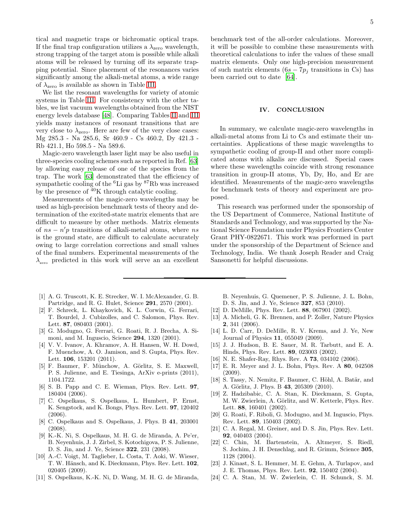tical and magnetic traps or bichromatic optical traps. If the final trap configuration utilizes a  $\lambda_{\text{zero}}$  wavelength, strong trapping of the target atom is possible while alkali atoms will be released by turning off its separate trapping potential. Since placement of the resonances varies significantly among the alkali-metal atoms, a wide range of  $\lambda_{\text{zero}}$  is available as shown in Table [III.](#page-3-0)

We list the resonant wavelengths for variety of atomic systems in Table [III.](#page-3-0) For consistency with the other tables, we list vacuum wavelengths obtained from the NIST energy levels database [\[48\]](#page-5-18). Comparing Tables [II](#page-2-1) and [III](#page-3-0) yields many instances of resonant transitions that are very close to  $\lambda_{\text{zero}}$ . Here are few of the very close cases: Mg 285.3 - Na 285.6, Sr 460.9 - Cs 460.2, Dy 421.3 - Rb 421.1, Ho 598.5 - Na 589.6.

Magic-zero wavelength laser light may be also useful in three-species cooling schemes such as reported in Ref. [\[63](#page-5-33)] by allowing easy release of one of the species from the trap. The work [\[63\]](#page-5-33) demonstrated that the efficiency of sympathetic cooling of the  ${}^{6}$ Li gas by  ${}^{87}$ Rb was increased by the presence of  $40K$  through catalytic cooling.

Measurements of the magic-zero wavelengths may be used as high-precision benchmark tests of theory and determination of the excited-state matrix elements that are difficult to measure by other methods. Matrix elements of  $ns - n'p$  transitions of alkali-metal atoms, where ns is the ground state, are difficult to calculate accurately owing to large correlation corrections and small values of the final numbers. Experimental measurements of the  $\lambda_{\text{zero}}$  predicted in this work will serve an an excellent

- <span id="page-4-0"></span>[1] A. G. Truscott, K. E. Strecker, W. I. McAlexander, G. B. Partridge, and R. G. Hulet, Science 291, 2570 (2001).
- [2] F. Schreck, L. Khaykovich, K. L. Corwin, G. Ferrari, T. Bourdel, J. Cubizolles, and C. Salomon, Phys. Rev. Lett. 87, 080403 (2001).
- [3] G. Modugno, G. Ferrari, G. Roati, R. J. Brecha, A. Simoni, and M. Inguscio, Science 294, 1320 (2001).
- [4] V. V. Ivanov, A. Khramov, A. H. Hansen, W. H. Dowd, F. Muenchow, A. O. Jamison, and S. Gupta, Phys. Rev. Lett. 106, 153201 (2011).
- <span id="page-4-1"></span>[5] F. Baumer, F. Münchow, A. Görlitz, S. E. Maxwell, P. S. Julienne, and E. Tiesinga, ArXiv e-prints (2011), 1104.1722.
- <span id="page-4-2"></span>[6] S. B. Papp and C. E. Wieman, Phys. Rev. Lett. 97, 180404 (2006).
- [7] C. Ospelkaus, S. Ospelkaus, L. Humbert, P. Ernst, K. Sengstock, and K. Bongs, Phys. Rev. Lett. 97, 120402 (2006).
- [8] C. Ospelkaus and S. Ospelkaus, J. Phys. B 41, 203001 (2008).
- [9] K.-K. Ni, S. Ospelkaus, M. H. G. de Miranda, A. Pe'er, B. Neyenhuis, J. J. Zirbel, S. Kotochigova, P. S. Julienne, D. S. Jin, and J. Ye, Science 322, 231 (2008).
- <span id="page-4-3"></span>[10] A.-C. Voigt, M. Taglieber, L. Costa, T. Aoki, W. Wieser, T. W. Hänsch, and K. Dieckmann, Phys. Rev. Lett. 102, 020405 (2009).
- <span id="page-4-4"></span>[11] S. Ospelkaus, K.-K. Ni, D. Wang, M. H. G. de Miranda,

benchmark test of the all-order calculations. Moreover, it will be possible to combine these measurements with theoretical calculations to infer the values of these small matrix elements. Only one high-precision measurement of such matrix elements  $(6s - 7p_i)$  transitions in Cs) has been carried out to date [\[64\]](#page-5-34).

#### IV. CONCLUSION

In summary, we calculate magic-zero wavelengths in alkali-metal atoms from Li to Cs and estimate their uncertainties. Applications of these magic wavelengths to sympathetic cooling of group-II and other more complicated atoms with alkalis are discussed. Special cases where these wavelengths coincide with strong resonance transition in group-II atoms, Yb, Dy, Ho, and Er are identified. Measurements of the magic-zero wavelengths for benchmark tests of theory and experiment are proposed.

This research was performed under the sponsorship of the US Department of Commerce, National Institute of Standards and Technology, and was supported by the National Science Foundation under Physics Frontiers Center Grant PHY-0822671. This work was performed in part under the sponsorship of the Department of Science and Technology, India. We thank Joseph Reader and Craig Sansonetti for helpful discussions.

B. Neyenhuis, G. Quemener, P. S. Julienne, J. L. Bohn, D. S. Jin, and J. Ye, Science 327, 853 (2010).

- <span id="page-4-5"></span>[12] D. DeMille, Phys. Rev. Lett. 88, 067901 (2002).
- [13] A. Micheli, G. K. Brennen, and P. Zoller, Nature Physics 2, 341 (2006).
- <span id="page-4-6"></span>[14] L. D. Carr, D. DeMille, R. V. Krems, and J. Ye, New Journal of Physics 11, 055049 (2009).
- <span id="page-4-7"></span>[15] J. J. Hudson, B. E. Sauer, M. R. Tarbutt, and E. A. Hinds, Phys. Rev. Lett. 89, 023003 (2002).
- [16] N. E. Shafer-Ray, Rhys. Rev. A **73**, 034102 (2006).
- <span id="page-4-8"></span>[17] E. R. Meyer and J. L. Bohn, Phys. Rev. A 80, 042508 (2009).
- <span id="page-4-9"></span>[18] S. Tassy, N. Nemitz, F. Baumer, C. Höhl, A. Batär, and A. Görlitz, J. Phys. B 43, 205309 (2010).
- <span id="page-4-10"></span>[19] Z. Hadzibabic, C. A. Stan, K. Dieckmann, S. Gupta, M. W. Zwierlein, A. Görlitz, and W. Ketterle, Phys. Rev. Lett. 88, 160401 (2002).
- [20] G. Roati, F. Riboli, G. Modugno, and M. Inguscio, Phys. Rev. Lett. 89, 150403 (2002).
- [21] C. A. Regal, M. Greiner, and D. S. Jin, Phys. Rev. Lett. 92, 040403 (2004).
- [22] C. Chin, M. Bartenstein, A. Altmeyer, S. Riedl, S. Jochim, J. H. Denschlag, and R. Grimm, Science 305, 1128 (2004).
- <span id="page-4-11"></span>[23] J. Kinast, S. L. Hemmer, M. E. Gehm, A. Turlapov, and J. E. Thomas, Phys. Rev. Lett. 92, 150402 (2004).
- <span id="page-4-12"></span>[24] C. A. Stan, M. W. Zwierlein, C. H. Schunck, S. M.